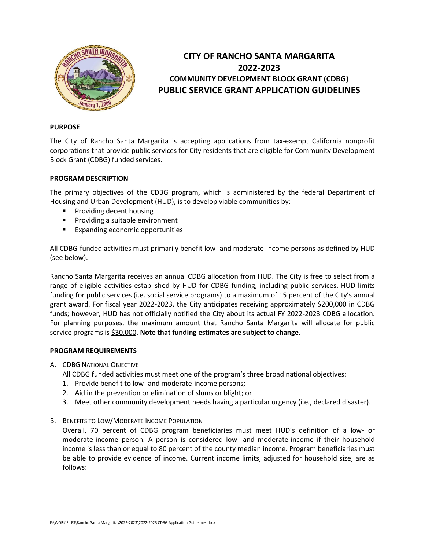

# **CITY OF RANCHO SANTA MARGARITA 2022-2023 COMMUNITY DEVELOPMENT BLOCK GRANT (CDBG) PUBLIC SERVICE GRANT APPLICATION GUIDELINES**

# **PURPOSE**

The City of Rancho Santa Margarita is accepting applications from tax-exempt California nonprofit corporations that provide public services for City residents that are eligible for Community Development Block Grant (CDBG) funded services.

## **PROGRAM DESCRIPTION**

The primary objectives of the CDBG program, which is administered by the federal Department of Housing and Urban Development (HUD), is to develop viable communities by:

- **Providing decent housing**
- **Providing a suitable environment**
- **Expanding economic opportunities**

All CDBG-funded activities must primarily benefit low- and moderate-income persons as defined by HUD (see below).

Rancho Santa Margarita receives an annual CDBG allocation from HUD. The City is free to select from a range of eligible activities established by HUD for CDBG funding, including public services. HUD limits funding for public services (i.e. social service programs) to a maximum of 15 percent of the City's annual grant award. For fiscal year 2022-2023, the City anticipates receiving approximately \$200,000 in CDBG funds; however, HUD has not officially notified the City about its actual FY 2022-2023 CDBG allocation. For planning purposes, the maximum amount that Rancho Santa Margarita will allocate for public service programs is \$30,000. **Note that funding estimates are subject to change.**

## **PROGRAM REQUIREMENTS**

A. CDBG NATIONAL OBJECTIVE

All CDBG funded activities must meet one of the program's three broad national objectives:

- 1. Provide benefit to low- and moderate-income persons;
- 2. Aid in the prevention or elimination of slums or blight; or
- 3. Meet other community development needs having a particular urgency (i.e., declared disaster).
- B. BENEFITS TO LOW/MODERATE INCOME POPULATION

Overall, 70 percent of CDBG program beneficiaries must meet HUD's definition of a low- or moderate-income person. A person is considered low- and moderate-income if their household income is less than or equal to 80 percent of the county median income. Program beneficiaries must be able to provide evidence of income. Current income limits, adjusted for household size, are as follows: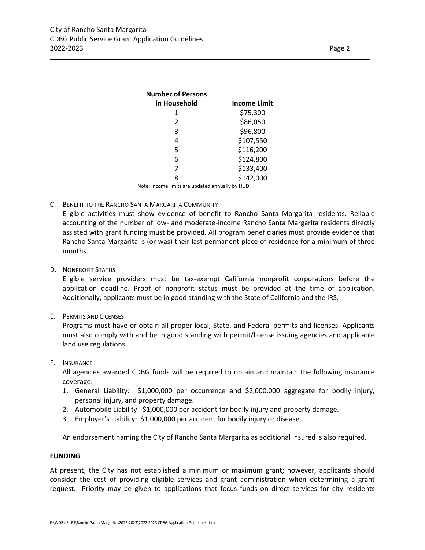| <b>Number of Persons</b>                         |                     |
|--------------------------------------------------|---------------------|
| in Household                                     | <b>Income Limit</b> |
| 1                                                | \$75,300            |
| 2                                                | \$86,050            |
| 3                                                | \$96,800            |
| 4                                                | \$107,550           |
| 5                                                | \$116,200           |
| 6                                                | \$124,800           |
| 7                                                | \$133,400           |
| 8                                                | \$142,000           |
| Note: Income limits are updated annually by HUD. |                     |

## C. BENEFIT TO THE RANCHO SANTA MARGARITA COMMUNITY

Eligible activities must show evidence of benefit to Rancho Santa Margarita residents. Reliable accounting of the number of low- and moderate-income Rancho Santa Margarita residents directly assisted with grant funding must be provided. All program beneficiaries must provide evidence that Rancho Santa Margarita is (or was) their last permanent place of residence for a minimum of three months.

D. NONPROFIT STATUS

Eligible service providers must be tax-exempt California nonprofit corporations before the application deadline. Proof of nonprofit status must be provided at the time of application. Additionally, applicants must be in good standing with the State of California and the IRS.

E. PERMITS AND LICENSES

Programs must have or obtain all proper local, State, and Federal permits and licenses. Applicants must also comply with and be in good standing with permit/license issuing agencies and applicable land use regulations.

F. INSURANCE

All agencies awarded CDBG funds will be required to obtain and maintain the following insurance coverage:

- 1. General Liability: \$1,000,000 per occurrence and \$2,000,000 aggregate for bodily injury, personal injury, and property damage.
- 2. Automobile Liability: \$1,000,000 per accident for bodily injury and property damage.
- 3. Employer's Liability: \$1,000,000 per accident for bodily injury or disease.

An endorsement naming the City of Rancho Santa Margarita as additional insured is also required.

#### **FUNDING**

At present, the City has not established a minimum or maximum grant; however, applicants should consider the cost of providing eligible services and grant administration when determining a grant request. Priority may be given to applications that focus funds on direct services for city residents